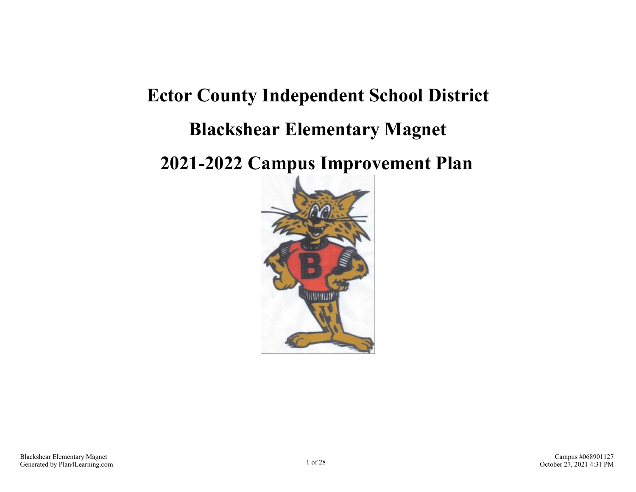# **Ector County Independent School District Blackshear Elementary Magnet**

## **2021-2022 Campus Improvement Plan**

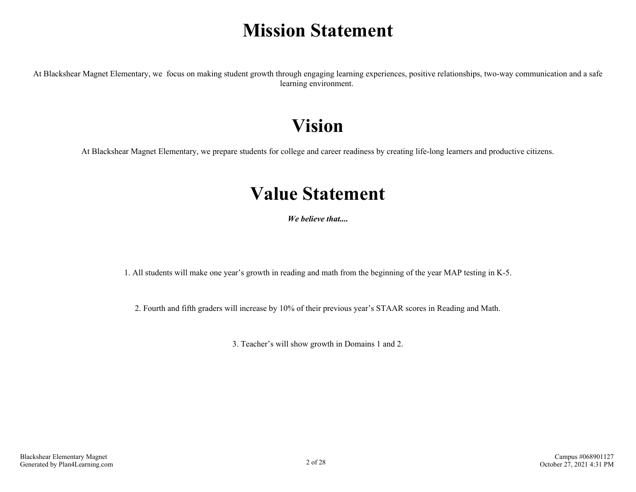# **Mission Statement**

At Blackshear Magnet Elementary, we focus on making student growth through engaging learning experiences, positive relationships, two-way communication and a safe learning environment.

## **Vision**

At Blackshear Magnet Elementary, we prepare students for college and career readiness by creating life-long learners and productive citizens.

### **Value Statement**

*We believe that....*

1. All students will make one year's growth in reading and math from the beginning of the year MAP testing in K-5.

2. Fourth and fifth graders will increase by 10% of their previous year's STAAR scores in Reading and Math.

3. Teacher's will show growth in Domains 1 and 2.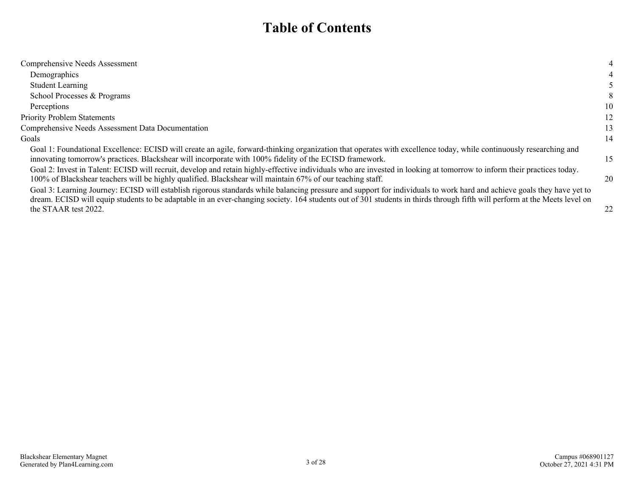### **Table of Contents**

| Comprehensive Needs Assessment                                                                                                                                                                                                                                                                                                                                              | 4  |
|-----------------------------------------------------------------------------------------------------------------------------------------------------------------------------------------------------------------------------------------------------------------------------------------------------------------------------------------------------------------------------|----|
| Demographics                                                                                                                                                                                                                                                                                                                                                                |    |
| <b>Student Learning</b>                                                                                                                                                                                                                                                                                                                                                     |    |
| School Processes & Programs                                                                                                                                                                                                                                                                                                                                                 | 8  |
| Perceptions                                                                                                                                                                                                                                                                                                                                                                 | 10 |
| <b>Priority Problem Statements</b>                                                                                                                                                                                                                                                                                                                                          | 12 |
| Comprehensive Needs Assessment Data Documentation                                                                                                                                                                                                                                                                                                                           | 13 |
| Goals                                                                                                                                                                                                                                                                                                                                                                       | 14 |
| Goal 1: Foundational Excellence: ECISD will create an agile, forward-thinking organization that operates with excellence today, while continuously researching and<br>innovating tomorrow's practices. Blackshear will incorporate with 100% fidelity of the ECISD framework.                                                                                               | 15 |
| Goal 2: Invest in Talent: ECISD will recruit, develop and retain highly-effective individuals who are invested in looking at tomorrow to inform their practices today.<br>100% of Blackshear teachers will be highly qualified. Blackshear will maintain 67% of our teaching staff.                                                                                         | 20 |
| Goal 3: Learning Journey: ECISD will establish rigorous standards while balancing pressure and support for individuals to work hard and achieve goals they have yet to<br>dream. ECISD will equip students to be adaptable in an ever-changing society. 164 students out of 301 students in thirds through fifth will perform at the Meets level on<br>the STAAR test 2022. | 22 |
|                                                                                                                                                                                                                                                                                                                                                                             |    |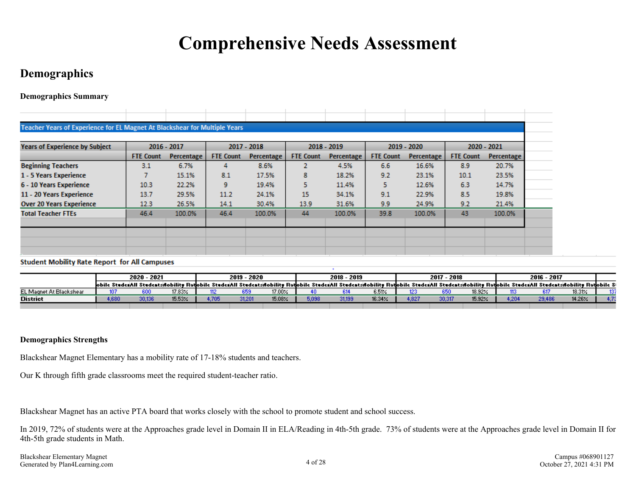# **Comprehensive Needs Assessment**

### <span id="page-3-0"></span>**Demographics**

**Demographics Summary**

| Teacher Years of Experience for EL Magnet At Blackshear for Multiple Years |                  |               |                  |            |                  |            |                  |            |                  |                   |
|----------------------------------------------------------------------------|------------------|---------------|------------------|------------|------------------|------------|------------------|------------|------------------|-------------------|
| <b>Years of Experience by Subject</b>                                      |                  | $2016 - 2017$ | 2017 - 2018      |            | 2018 - 2019      |            | $2019 - 2020$    |            | 2020 - 2021      |                   |
|                                                                            | <b>FTE Count</b> | Percentage    | <b>FTE Count</b> | Percentage | <b>FTE Count</b> | Percentage | <b>FTE Count</b> | Percentage | <b>FTE Count</b> | <b>Percentage</b> |
| <b>Beginning Teachers</b>                                                  | 3.1              | 6.7%          | 4                | 8.6%       |                  | 4.5%       | 6.6              | 16.6%      | 8.9              | 20.7%             |
| 1 - 5 Years Experience                                                     |                  | 15.1%         | 8.1              | 17.5%      | 8                | 18.2%      | 9.2              | 23.1%      | 10.1             | 23.5%             |
| 6 - 10 Years Experience                                                    | 10.3             | 22.2%         | 9                | 19.4%      |                  | 11.4%      | 5.               | 12.6%      | 6.3              | 14.7%             |
| 11 - 20 Years Experience                                                   | 13.7             | 29.5%         | 11.2             | 24.1%      | 15               | 34.1%      | 9.1              | 22.9%      | 8.5              | 19.8%             |
| <b>Over 20 Years Experience</b>                                            | 12.3             | 26.5%         | 14.1             | 30.4%      | 13.9             | 31.6%      | 9.9              | 24.9%      | 9.2              | 21.4%             |
| <b>Total Teacher FTEs</b>                                                  | 46.4             | 100.0%        | 46.4             | 100.0%     | 44               | 100.0%     | 39.8             | 100.0%     | 43               | 100.0%            |
|                                                                            |                  |               |                  |            |                  |            |                  |            |                  |                   |
|                                                                            |                  |               |                  |            |                  |            |                  |            |                  |                   |
|                                                                            |                  |               |                  |            |                  |            |                  |            |                  |                   |

#### **Student Mobility Rate Report for All Campuses**

|                         |       | 2020 - 2021 |               |       | -2020<br>2019 |           |       | 2018 - 2019 |                |       | 2017<br>- 2018 |               |                  | 2016 - 2017                                                                                                                                                                                                                    |        |      |
|-------------------------|-------|-------------|---------------|-------|---------------|-----------|-------|-------------|----------------|-------|----------------|---------------|------------------|--------------------------------------------------------------------------------------------------------------------------------------------------------------------------------------------------------------------------------|--------|------|
|                         |       |             |               |       |               |           |       |             |                |       |                |               |                  | lobile Studenkill Studentshobility Radobile Studenkill Studentshobility Radobile Studenkill Studentshobility Radobile Studenkill Studentshobility Radobile Studentshobility Radobile Studentshobility Radobile Studentshobilit |        |      |
| EL Magnet At Blackshear |       |             | $17.83\times$ |       | 659           | $17.00\%$ |       |             | e Riv<br>v.v.m |       |                | 18.92%        |                  |                                                                                                                                                                                                                                | 18.31% | 4007 |
| <b>District</b>         | 4,680 | 30,136      | 15.53%        | 1,705 | 31,201        | 15.08%    | 5,098 |             | 16.34%         | 1.827 | 30,317         | $15.92\times$ | .20 <sub>1</sub> | 29,486                                                                                                                                                                                                                         | 14.26% | . .  |
|                         |       |             |               |       |               |           |       |             |                |       |                |               |                  |                                                                                                                                                                                                                                |        |      |

#### **Demographics Strengths**

Blackshear Magnet Elementary has a mobility rate of 17-18% students and teachers.

Our K through fifth grade classrooms meet the required student-teacher ratio.

Blackshear Magnet has an active PTA board that works closely with the school to promote student and school success.

In 2019, 72% of students were at the Approaches grade level in Domain II in ELA/Reading in 4th-5th grade. 73% of students were at the Approaches grade level in Domain II for 4th-5th grade students in Math.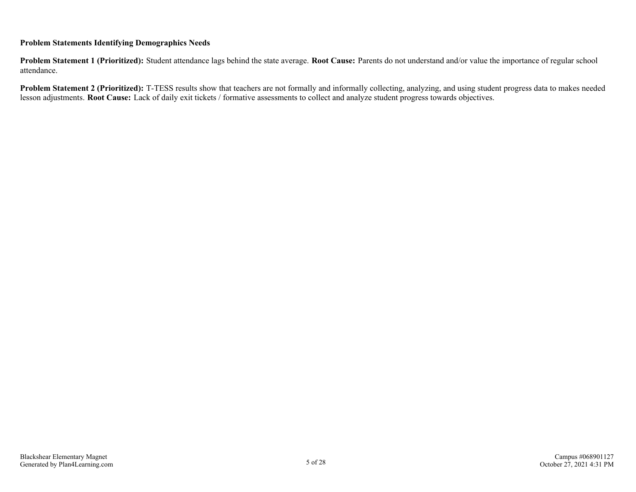#### **Problem Statements Identifying Demographics Needs**

**Problem Statement 1 (Prioritized):** Student attendance lags behind the state average. **Root Cause:** Parents do not understand and/or value the importance of regular school attendance.

**Problem Statement 2 (Prioritized):** T-TESS results show that teachers are not formally and informally collecting, analyzing, and using student progress data to makes needed lesson adjustments. **Root Cause:** Lack of daily exit tickets / formative assessments to collect and analyze student progress towards objectives.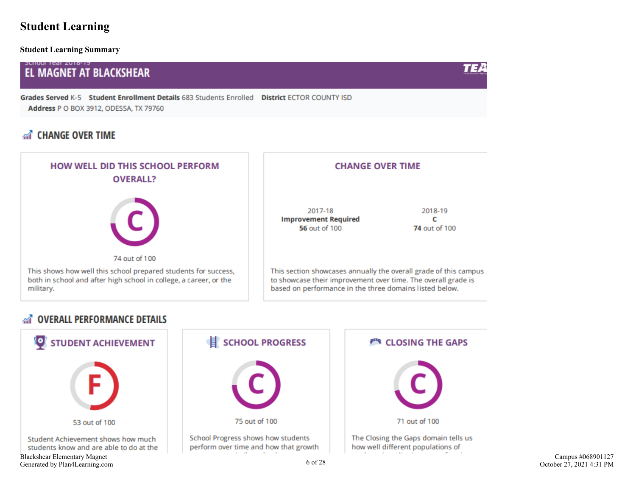### <span id="page-5-0"></span>**Student Learning**

**Student Learning Summary**

#### **SLIIUUI TEdI ZUTO-TY EL MAGNET AT BLACKSHEAR**

Grades Served K-5 Student Enrollment Details 683 Students Enrolled District ECTOR COUNTY ISD Address P O BOX 3912, ODESSA, TX 79760

### **AT CHANGE OVER TIME**



#### **OVERALL PERFORMANCE DETAILS**  $\mathbb{Z}$



TEA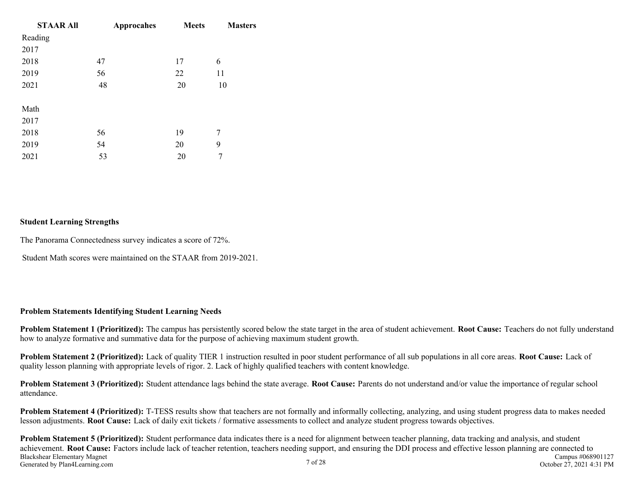| <b>STAAR All</b> | <b>Approcahes</b> | <b>Meets</b> | <b>Masters</b> |
|------------------|-------------------|--------------|----------------|
| Reading          |                   |              |                |
| 2017             |                   |              |                |
| 2018             | 47                | 17           | 6              |
| 2019             | 56                | 22           | 11             |
| 2021             | 48                | 20           | 10             |
|                  |                   |              |                |
| Math             |                   |              |                |
| 2017             |                   |              |                |
| 2018             | 56                | 19           | 7              |
| 2019             | 54                | 20           | 9              |
| 2021             | 53                | 20           |                |

#### **Student Learning Strengths**

The Panorama Connectedness survey indicates a score of 72%.

Student Math scores were maintained on the STAAR from 2019-2021.

#### **Problem Statements Identifying Student Learning Needs**

**Problem Statement 1 (Prioritized):** The campus has persistently scored below the state target in the area of student achievement. **Root Cause:** Teachers do not fully understand how to analyze formative and summative data for the purpose of achieving maximum student growth.

**Problem Statement 2 (Prioritized):** Lack of quality TIER 1 instruction resulted in poor student performance of all sub populations in all core areas. **Root Cause:** Lack of quality lesson planning with appropriate levels of rigor. 2. Lack of highly qualified teachers with content knowledge.

**Problem Statement 3 (Prioritized):** Student attendance lags behind the state average. **Root Cause:** Parents do not understand and/or value the importance of regular school attendance.

**Problem Statement 4 (Prioritized):** T-TESS results show that teachers are not formally and informally collecting, analyzing, and using student progress data to makes needed lesson adjustments. **Root Cause:** Lack of daily exit tickets / formative assessments to collect and analyze student progress towards objectives.

**Problem Statement 5 (Prioritized):** Student performance data indicates there is a need for alignment between teacher planning, data tracking and analysis, and student achievement. **Root Cause:** Factors include lack of teacher retention, teachers needing support, and ensuring the DDI process and effective lesson planning are connected to Blackshear Elementary Magnet Generated by Plan4Learning.com 7 of 28 Campus #068901127 October 27, 2021 4:31 PM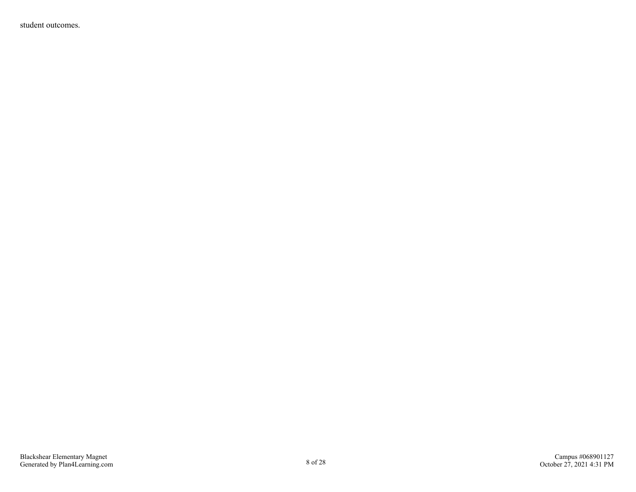student outcomes.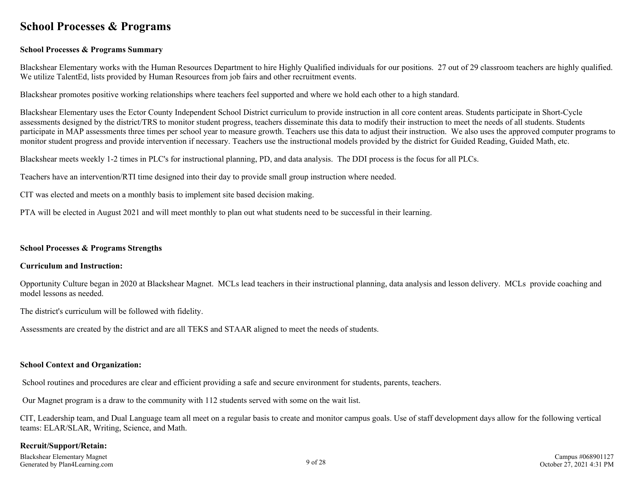### <span id="page-8-0"></span>**School Processes & Programs**

#### **School Processes & Programs Summary**

Blackshear Elementary works with the Human Resources Department to hire Highly Qualified individuals for our positions. 27 out of 29 classroom teachers are highly qualified. We utilize TalentEd, lists provided by Human Resources from job fairs and other recruitment events.

Blackshear promotes positive working relationships where teachers feel supported and where we hold each other to a high standard.

Blackshear Elementary uses the Ector County Independent School District curriculum to provide instruction in all core content areas. Students participate in Short-Cycle assessments designed by the district/TRS to monitor student progress, teachers disseminate this data to modify their instruction to meet the needs of all students. Students participate in MAP assessments three times per school year to measure growth. Teachers use this data to adjust their instruction. We also uses the approved computer programs to monitor student progress and provide intervention if necessary. Teachers use the instructional models provided by the district for Guided Reading, Guided Math, etc.

Blackshear meets weekly 1-2 times in PLC's for instructional planning, PD, and data analysis. The DDI process is the focus for all PLCs.

Teachers have an intervention/RTI time designed into their day to provide small group instruction where needed.

CIT was elected and meets on a monthly basis to implement site based decision making.

PTA will be elected in August 2021 and will meet monthly to plan out what students need to be successful in their learning.

#### **School Processes & Programs Strengths**

#### **Curriculum and Instruction:**

Opportunity Culture began in 2020 at Blackshear Magnet. MCLs lead teachers in their instructional planning, data analysis and lesson delivery. MCLs provide coaching and model lessons as needed.

The district's curriculum will be followed with fidelity.

Assessments are created by the district and are all TEKS and STAAR aligned to meet the needs of students.

#### **School Context and Organization:**

School routines and procedures are clear and efficient providing a safe and secure environment for students, parents, teachers.

Our Magnet program is a draw to the community with 112 students served with some on the wait list.

CIT, Leadership team, and Dual Language team all meet on a regular basis to create and monitor campus goals. Use of staff development days allow for the following vertical teams: ELAR/SLAR, Writing, Science, and Math.

#### **Recruit/Support/Retain:**

Blackshear Elementary Magnet Generated by Plan4Learning.com 9 of 28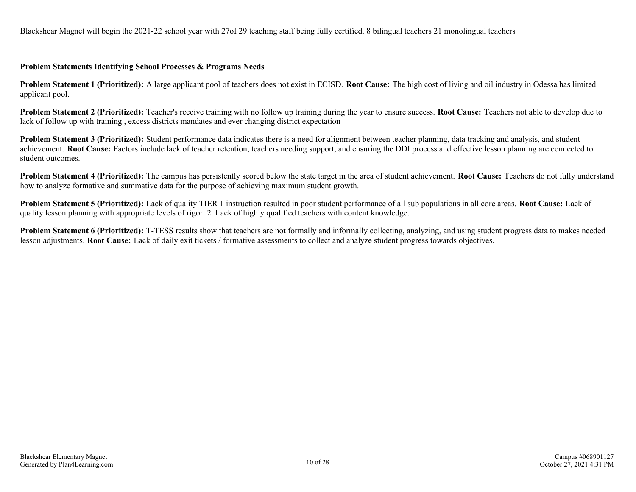Blackshear Magnet will begin the 2021-22 school year with 27of 29 teaching staff being fully certified. 8 bilingual teachers 21 monolingual teachers

#### **Problem Statements Identifying School Processes & Programs Needs**

**Problem Statement 1 (Prioritized):** A large applicant pool of teachers does not exist in ECISD. **Root Cause:** The high cost of living and oil industry in Odessa has limited applicant pool.

**Problem Statement 2 (Prioritized):** Teacher's receive training with no follow up training during the year to ensure success. **Root Cause:** Teachers not able to develop due to lack of follow up with training , excess districts mandates and ever changing district expectation

**Problem Statement 3 (Prioritized):** Student performance data indicates there is a need for alignment between teacher planning, data tracking and analysis, and student achievement. **Root Cause:** Factors include lack of teacher retention, teachers needing support, and ensuring the DDI process and effective lesson planning are connected to student outcomes.

**Problem Statement 4 (Prioritized):** The campus has persistently scored below the state target in the area of student achievement. **Root Cause:** Teachers do not fully understand how to analyze formative and summative data for the purpose of achieving maximum student growth.

**Problem Statement 5 (Prioritized):** Lack of quality TIER 1 instruction resulted in poor student performance of all sub populations in all core areas. **Root Cause:** Lack of quality lesson planning with appropriate levels of rigor. 2. Lack of highly qualified teachers with content knowledge.

**Problem Statement 6 (Prioritized):** T-TESS results show that teachers are not formally and informally collecting, analyzing, and using student progress data to makes needed lesson adjustments. **Root Cause:** Lack of daily exit tickets / formative assessments to collect and analyze student progress towards objectives.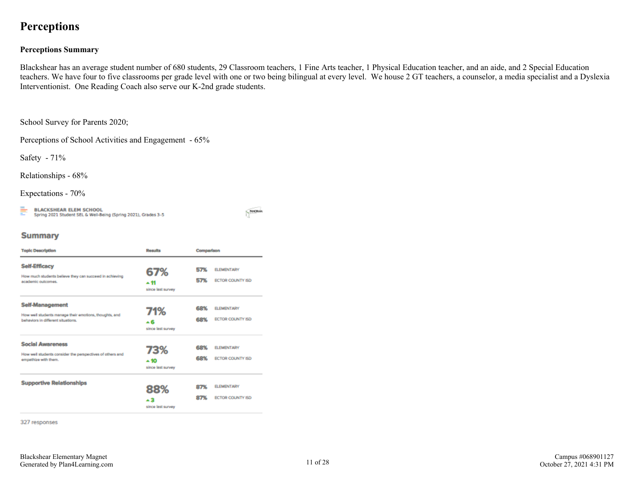### <span id="page-10-0"></span>**Perceptions**

#### **Perceptions Summary**

Blackshear has an average student number of 680 students, 29 Classroom teachers, 1 Fine Arts teacher, 1 Physical Education teacher, and an aide, and 2 Special Education teachers. We have four to five classrooms per grade level with one or two being bilingual at every level. We house 2 GT teachers, a counselor, a media specialist and a Dyslexia Interventionist. One Reading Coach also serve our K-2nd grade students.

School Survey for Parents 2020;

Perceptions of School Activities and Engagement - 65%

Safety - 71%

Relationships - 68%

Expectations - 70%

들 **BLACKSHEAR ELEM SCHOOL** Spring 2021 Student SEL & Well-Being (Spring 2021), Grades 3-5 WHOMA

#### **Summary**

| <b>Topic Description</b>                                                                                               | <b>Results</b>                    | Comparison |                                       |  |
|------------------------------------------------------------------------------------------------------------------------|-----------------------------------|------------|---------------------------------------|--|
| <b>Self-Efficacy</b><br>How much students believe they can succeed in achieving<br>academic outcomes.                  | 67%<br>∸ 11<br>since last survey  | 57%<br>57% | <b>ELEMENTARY</b><br>ECTOR COUNTY ISD |  |
| <b>Self-Management</b><br>How well students manage their emotions, thoughts, and<br>behaviors in different situations. | 71%<br>∸6<br>since last survey    | 68%<br>68% | <b>ELEMENTARY</b><br>ECTOR COUNTY ISD |  |
| <b>Social Awareness</b><br>How well students consider the perspectives of others and<br>empathize with them.           | 73%<br>$+10$<br>since last survey | 68%<br>68% | <b>ELEMENTARY</b><br>ECTOR COUNTY ISD |  |
| <b>Supportive Relationships</b>                                                                                        | 88%<br>▲ 3<br>since last survey   | 87%<br>87% | <b>ELEMENTARY</b><br>ECTOR COUNTY ISD |  |

327 responses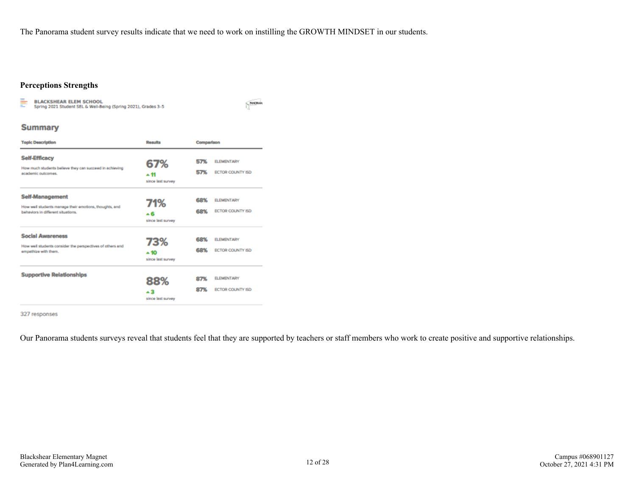The Panorama student survey results indicate that we need to work on instilling the GROWTH MINDSET in our students.

#### **Perceptions Strengths**

BLACKSHEAR ELEM SCHOOL<br>Spring 2021 Student SEL & Well-Being (Spring 2021), Grades 3-5 ŧ

MACRAIN

#### **Summary**

| <b>Topic Description</b>                                                                                               | <b>Results</b>                    | Comparison |                                       |  |  |
|------------------------------------------------------------------------------------------------------------------------|-----------------------------------|------------|---------------------------------------|--|--|
| <b>Self-Efficacy</b><br>How much students believe they can succeed in achieving<br>academic outcomes.                  | 67%<br>∸11<br>since last survey   | 57%<br>57% | <b>ELEMENTARY</b><br>ECTOR COUNTY ISD |  |  |
| <b>Self-Management</b><br>How well students manage their emotions, thoughts, and<br>behaviors in different situations. | 71%<br>▲ 6<br>since last survey   | 68%<br>68% | <b>ELEMENTARY</b><br>ECTOR COUNTY ISD |  |  |
| <b>Social Awareness</b><br>How well students consider the perspectives of others and<br>empathize with them.           | 73%<br>$+10$<br>since last survey | 68%<br>68% | <b>ELEMENTARY</b><br>ECTOR COUNTY ISD |  |  |
| <b>Supportive Relationships</b>                                                                                        | 88%<br>▲ 3<br>since last survey   | 87%<br>87% | <b>ELEMENTARY</b><br>ECTOR COUNTY ISD |  |  |

#### 327 responses

Our Panorama students surveys reveal that students feel that they are supported by teachers or staff members who work to create positive and supportive relationships.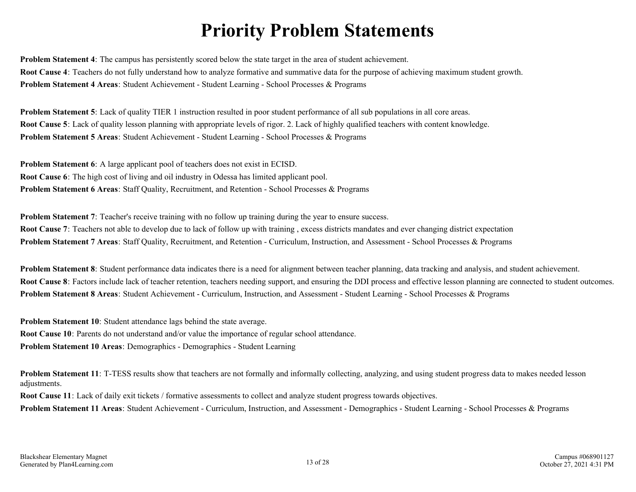# **Priority Problem Statements**

<span id="page-12-0"></span>**Problem Statement 4**: The campus has persistently scored below the state target in the area of student achievement. **Root Cause 4**: Teachers do not fully understand how to analyze formative and summative data for the purpose of achieving maximum student growth. **Problem Statement 4 Areas**: Student Achievement - Student Learning - School Processes & Programs

**Problem Statement 5**: Lack of quality TIER 1 instruction resulted in poor student performance of all sub populations in all core areas. **Root Cause 5**: Lack of quality lesson planning with appropriate levels of rigor. 2. Lack of highly qualified teachers with content knowledge. **Problem Statement 5 Areas**: Student Achievement - Student Learning - School Processes & Programs

**Problem Statement 6**: A large applicant pool of teachers does not exist in ECISD. **Root Cause 6**: The high cost of living and oil industry in Odessa has limited applicant pool. **Problem Statement 6 Areas**: Staff Quality, Recruitment, and Retention - School Processes & Programs

**Problem Statement 7**: Teacher's receive training with no follow up training during the year to ensure success. **Root Cause 7**: Teachers not able to develop due to lack of follow up with training, excess districts mandates and ever changing district expectation **Problem Statement 7 Areas**: Staff Quality, Recruitment, and Retention - Curriculum, Instruction, and Assessment - School Processes & Programs

**Problem Statement 8**: Student performance data indicates there is a need for alignment between teacher planning, data tracking and analysis, and student achievement. **Root Cause 8**: Factors include lack of teacher retention, teachers needing support, and ensuring the DDI process and effective lesson planning are connected to student outcomes. **Problem Statement 8 Areas**: Student Achievement - Curriculum, Instruction, and Assessment - Student Learning - School Processes & Programs

**Problem Statement 10**: Student attendance lags behind the state average. **Root Cause 10**: Parents do not understand and/or value the importance of regular school attendance. **Problem Statement 10 Areas**: Demographics - Demographics - Student Learning

**Problem Statement 11**: T-TESS results show that teachers are not formally and informally collecting, analyzing, and using student progress data to makes needed lesson adjustments.

**Root Cause 11**: Lack of daily exit tickets / formative assessments to collect and analyze student progress towards objectives.

**Problem Statement 11 Areas**: Student Achievement - Curriculum, Instruction, and Assessment - Demographics - Student Learning - School Processes & Programs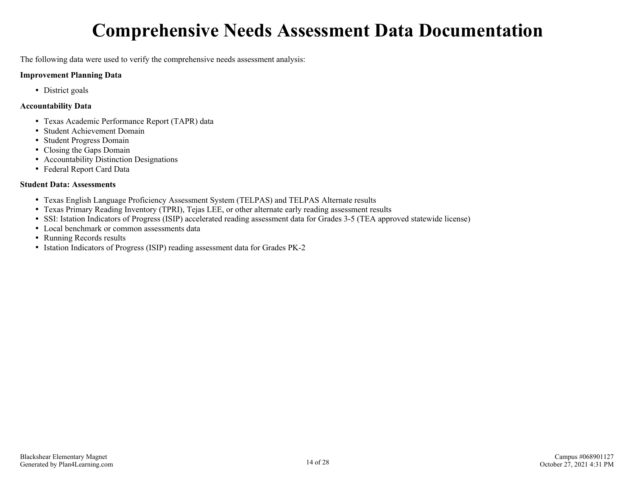# **Comprehensive Needs Assessment Data Documentation**

<span id="page-13-0"></span>The following data were used to verify the comprehensive needs assessment analysis:

#### **Improvement Planning Data**

• District goals

#### **Accountability Data**

- Texas Academic Performance Report (TAPR) data
- Student Achievement Domain
- Student Progress Domain
- Closing the Gaps Domain
- Accountability Distinction Designations
- Federal Report Card Data

#### **Student Data: Assessments**

- Texas English Language Proficiency Assessment System (TELPAS) and TELPAS Alternate results
- Texas Primary Reading Inventory (TPRI), Tejas LEE, or other alternate early reading assessment results
- SSI: Istation Indicators of Progress (ISIP) accelerated reading assessment data for Grades 3-5 (TEA approved statewide license)
- Local benchmark or common assessments data
- Running Records results
- Istation Indicators of Progress (ISIP) reading assessment data for Grades PK-2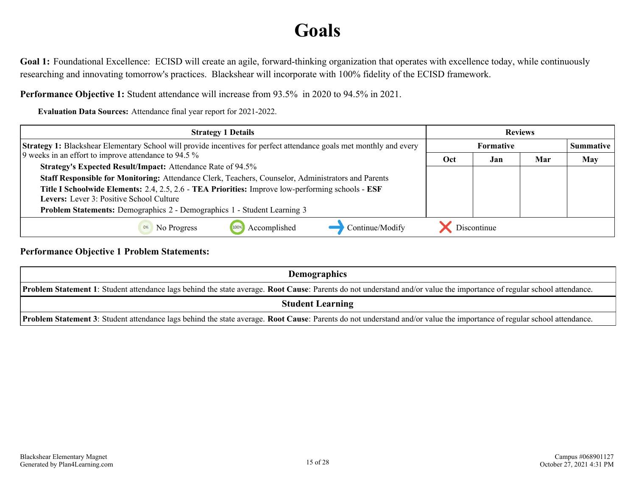# **Goals**

<span id="page-14-0"></span>Goal 1: Foundational Excellence: ECISD will create an agile, forward-thinking organization that operates with excellence today, while continuously researching and innovating tomorrow's practices. Blackshear will incorporate with 100% fidelity of the ECISD framework.

**Performance Objective 1:** Student attendance will increase from 93.5% in 2020 to 94.5% in 2021.

**Evaluation Data Sources:** Attendance final year report for 2021-2022.

| <b>Strategy 1 Details</b>                                                                                                                            | <b>Reviews</b> |                  |     |     |
|------------------------------------------------------------------------------------------------------------------------------------------------------|----------------|------------------|-----|-----|
| <b>Strategy 1:</b> Blackshear Elementary School will provide incentives for perfect attendance goals met monthly and every                           |                | <b>Summative</b> |     |     |
| 9 weeks in an effort to improve attendance to 94.5 %                                                                                                 | Oct            | Jan              | Mar | May |
| <b>Strategy's Expected Result/Impact:</b> Attendance Rate of 94.5%                                                                                   |                |                  |     |     |
| Staff Responsible for Monitoring: Attendance Clerk, Teachers, Counselor, Administrators and Parents                                                  |                |                  |     |     |
| Title I Schoolwide Elements: 2.4, 2.5, 2.6 - TEA Priorities: Improve low-performing schools - ESF<br><b>Levers:</b> Lever 3: Positive School Culture |                |                  |     |     |
| Problem Statements: Demographics 2 - Demographics 1 - Student Learning 3                                                                             |                |                  |     |     |
| Continue/Modify<br>Accomplished<br>No Progress<br>100%                                                                                               |                | Discontinue      |     |     |

**Performance Objective 1 Problem Statements:**

| <b>Demographics</b>                                                                                                                                                            |  |  |  |  |  |
|--------------------------------------------------------------------------------------------------------------------------------------------------------------------------------|--|--|--|--|--|
| <b>Problem Statement 1</b> : Student attendance lags behind the state average. Root Cause: Parents do not understand and/or value the importance of regular school attendance. |  |  |  |  |  |
| <b>Student Learning</b>                                                                                                                                                        |  |  |  |  |  |
| <b>Problem Statement 3</b> : Student attendance lags behind the state average. Root Cause: Parents do not understand and/or value the importance of regular school attendance. |  |  |  |  |  |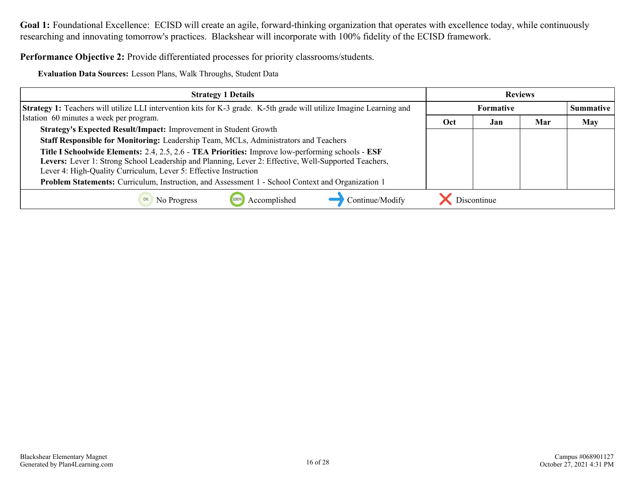**Performance Objective 2:** Provide differentiated processes for priority classrooms/students.

**Evaluation Data Sources:** Lesson Plans, Walk Throughs, Student Data

| <b>Strategy 1 Details</b>                                                                                                   | <b>Reviews</b> |                  |     |     |  |
|-----------------------------------------------------------------------------------------------------------------------------|----------------|------------------|-----|-----|--|
| <b>Strategy 1:</b> Teachers will utilize LLI intervention kits for K-3 grade. K-5th grade will utilize Imagine Learning and |                | <b>Summative</b> |     |     |  |
| Istation 60 minutes a week per program.                                                                                     | Oct            | Jan              | Mar | May |  |
| Strategy's Expected Result/Impact: Improvement in Student Growth                                                            |                |                  |     |     |  |
| Staff Responsible for Monitoring: Leadership Team, MCLs, Administrators and Teachers                                        |                |                  |     |     |  |
| Title I Schoolwide Elements: 2.4, 2.5, 2.6 - TEA Priorities: Improve low-performing schools - ESF                           |                |                  |     |     |  |
| Levers: Lever 1: Strong School Leadership and Planning, Lever 2: Effective, Well-Supported Teachers,                        |                |                  |     |     |  |
| Lever 4: High-Quality Curriculum, Lever 5: Effective Instruction                                                            |                |                  |     |     |  |
| Problem Statements: Curriculum, Instruction, and Assessment 1 - School Context and Organization 1                           |                |                  |     |     |  |
| Accomplished<br>Continue/Modify<br>No Progress                                                                              |                | Discontinue      |     |     |  |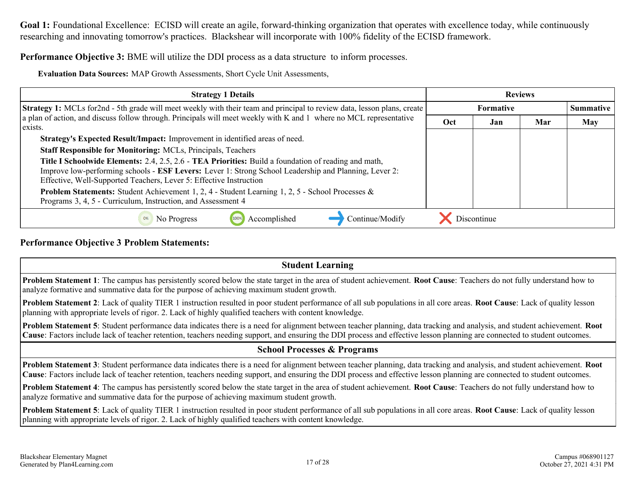**Performance Objective 3:** BME will utilize the DDI process as a data structure to inform processes.

**Evaluation Data Sources:** MAP Growth Assessments, Short Cycle Unit Assessments,

| <b>Strategy 1 Details</b>                                                                                                                                                                                                                                                           | <b>Reviews</b> |                  |     |            |
|-------------------------------------------------------------------------------------------------------------------------------------------------------------------------------------------------------------------------------------------------------------------------------------|----------------|------------------|-----|------------|
| <b>Strategy 1:</b> MCLs for 2nd - 5th grade will meet weekly with their team and principal to review data, lesson plans, create                                                                                                                                                     |                | <b>Summative</b> |     |            |
| a plan of action, and discuss follow through. Principals will meet weekly with K and 1 where no MCL representative<br>exists.                                                                                                                                                       | Oct            | Jan              | Mar | <b>May</b> |
| Strategy's Expected Result/Impact: Improvement in identified areas of need.                                                                                                                                                                                                         |                |                  |     |            |
| <b>Staff Responsible for Monitoring: MCLs, Principals, Teachers</b>                                                                                                                                                                                                                 |                |                  |     |            |
| Title I Schoolwide Elements: 2.4, 2.5, 2.6 - TEA Priorities: Build a foundation of reading and math,<br>Improve low-performing schools - ESF Levers: Lever 1: Strong School Leadership and Planning, Lever 2:<br>Effective, Well-Supported Teachers, Lever 5: Effective Instruction |                |                  |     |            |
| <b>Problem Statements:</b> Student Achievement 1, 2, 4 - Student Learning 1, 2, 5 - School Processes $\&$<br>Programs 3, 4, 5 - Curriculum, Instruction, and Assessment 4                                                                                                           |                |                  |     |            |
| Continue/Modify<br>Accomplished<br>No Progress                                                                                                                                                                                                                                      |                | Discontinue      |     |            |

#### **Performance Objective 3 Problem Statements:**

| <b>Student Learning</b>                                                                                                                                                                                                                                                                                                                                              |
|----------------------------------------------------------------------------------------------------------------------------------------------------------------------------------------------------------------------------------------------------------------------------------------------------------------------------------------------------------------------|
| <b>Problem Statement 1:</b> The campus has persistently scored below the state target in the area of student achievement. <b>Root Cause:</b> Teachers do not fully understand how to<br>analyze formative and summative data for the purpose of achieving maximum student growth.                                                                                    |
| Problem Statement 2: Lack of quality TIER 1 instruction resulted in poor student performance of all sub populations in all core areas. Root Cause: Lack of quality lesson<br>planning with appropriate levels of rigor. 2. Lack of highly qualified teachers with content knowledge.                                                                                 |
| <b>Problem Statement 5:</b> Student performance data indicates there is a need for alignment between teacher planning, data tracking and analysis, and student achievement. <b>Root</b><br>Cause: Factors include lack of teacher retention, teachers needing support, and ensuring the DDI process and effective lesson planning are connected to student outcomes. |
| <b>School Processes &amp; Programs</b>                                                                                                                                                                                                                                                                                                                               |
| Problem Statement 3: Student performance data indicates there is a need for alignment between teacher planning, data tracking and analysis, and student achievement. Root<br>Cause: Factors include lack of teacher retention, teachers needing support, and ensuring the DDI process and effective lesson planning are connected to student outcomes.               |
| Problem Statement 4: The campus has persistently scored below the state target in the area of student achievement. Root Cause: Teachers do not fully understand how to<br>analyze formative and summative data for the purpose of achieving maximum student growth.                                                                                                  |
| Problem Statement 5: Lack of quality TIER 1 instruction resulted in poor student performance of all sub populations in all core areas. Root Cause: Lack of quality lesson<br>planning with appropriate levels of rigor. 2. Lack of highly qualified teachers with content knowledge.                                                                                 |
|                                                                                                                                                                                                                                                                                                                                                                      |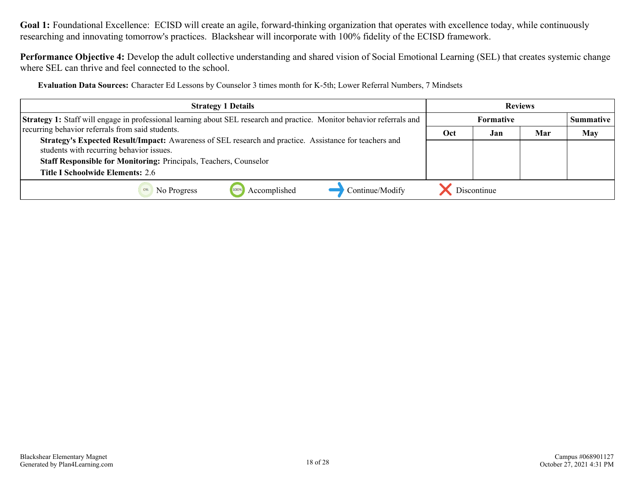**Performance Objective 4:** Develop the adult collective understanding and shared vision of Social Emotional Learning (SEL) that creates systemic change where SEL can thrive and feel connected to the school.

**Evaluation Data Sources:** Character Ed Lessons by Counselor 3 times month for K-5th; Lower Referral Numbers, 7 Mindsets

| <b>Strategy 1 Details</b>                                                                                                                          | <b>Reviews</b> |                  |     |            |  |
|----------------------------------------------------------------------------------------------------------------------------------------------------|----------------|------------------|-----|------------|--|
| <b>Strategy 1:</b> Staff will engage in professional learning about SEL research and practice. Monitor behavior referrals and                      |                | <b>Summative</b> |     |            |  |
| recurring behavior referrals from said students.                                                                                                   | Oct            | Jan              | Mar | <b>May</b> |  |
| Strategy's Expected Result/Impact: Awareness of SEL research and practice. Assistance for teachers and<br>students with recurring behavior issues. |                |                  |     |            |  |
| <b>Staff Responsible for Monitoring: Principals, Teachers, Counselor</b>                                                                           |                |                  |     |            |  |
| <b>Title I Schoolwide Elements: 2.6</b>                                                                                                            |                |                  |     |            |  |
| Accomplished<br>Continue/Modify<br>No Progress                                                                                                     |                | Discontinue      |     |            |  |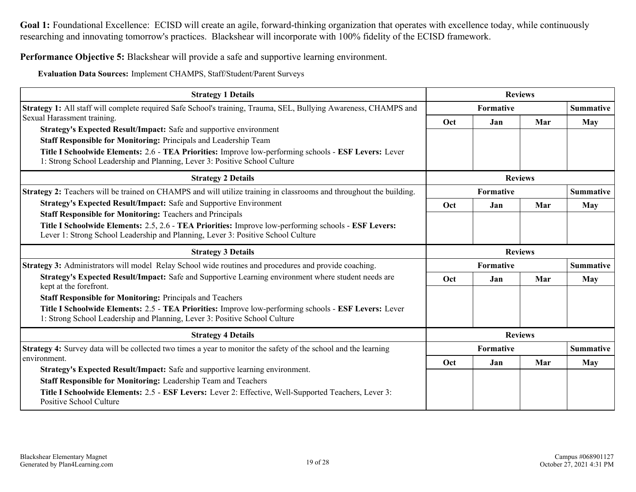**Performance Objective 5:** Blackshear will provide a safe and supportive learning environment.

**Evaluation Data Sources:** Implement CHAMPS, Staff/Student/Parent Surveys

| <b>Strategy 1 Details</b>                                                                                                                                                                                                                                                                                                     | <b>Reviews</b>   |                |                |                  |
|-------------------------------------------------------------------------------------------------------------------------------------------------------------------------------------------------------------------------------------------------------------------------------------------------------------------------------|------------------|----------------|----------------|------------------|
| <b>Strategy 1:</b> All staff will complete required Safe School's training, Trauma, SEL, Bullying Awareness, CHAMPS and                                                                                                                                                                                                       | Formative        |                |                | <b>Summative</b> |
| Sexual Harassment training.                                                                                                                                                                                                                                                                                                   | Oct              | Jan            | Mar            | May              |
| Strategy's Expected Result/Impact: Safe and supportive environment<br>Staff Responsible for Monitoring: Principals and Leadership Team<br>Title I Schoolwide Elements: 2.6 - TEA Priorities: Improve low-performing schools - ESF Levers: Lever<br>1: Strong School Leadership and Planning, Lever 3: Positive School Culture |                  |                |                |                  |
| <b>Strategy 2 Details</b>                                                                                                                                                                                                                                                                                                     |                  |                | <b>Reviews</b> |                  |
| Strategy 2: Teachers will be trained on CHAMPS and will utilize training in classrooms and throughout the building.                                                                                                                                                                                                           |                  | Formative      |                | <b>Summative</b> |
| <b>Strategy's Expected Result/Impact: Safe and Supportive Environment</b>                                                                                                                                                                                                                                                     | Oct              | Jan            | Mar            | May              |
| <b>Staff Responsible for Monitoring: Teachers and Principals</b><br>Title I Schoolwide Elements: 2.5, 2.6 - TEA Priorities: Improve low-performing schools - ESF Levers:<br>Lever 1: Strong School Leadership and Planning, Lever 3: Positive School Culture                                                                  |                  |                |                |                  |
| <b>Strategy 3 Details</b>                                                                                                                                                                                                                                                                                                     |                  |                | <b>Reviews</b> |                  |
| Strategy 3: Administrators will model Relay School wide routines and procedures and provide coaching.                                                                                                                                                                                                                         |                  | Formative      |                | <b>Summative</b> |
| Strategy's Expected Result/Impact: Safe and Supportive Learning environment where student needs are<br>kept at the forefront.                                                                                                                                                                                                 | Oct              | Jan            | Mar            | <b>May</b>       |
| <b>Staff Responsible for Monitoring: Principals and Teachers</b><br>Title I Schoolwide Elements: 2.5 - TEA Priorities: Improve low-performing schools - ESF Levers: Lever<br>1: Strong School Leadership and Planning, Lever 3: Positive School Culture                                                                       |                  |                |                |                  |
| <b>Strategy 4 Details</b>                                                                                                                                                                                                                                                                                                     |                  | <b>Reviews</b> |                |                  |
| Strategy 4: Survey data will be collected two times a year to monitor the safety of the school and the learning                                                                                                                                                                                                               | <b>Formative</b> |                |                | <b>Summative</b> |
| environment.<br>Strategy's Expected Result/Impact: Safe and supportive learning environment.                                                                                                                                                                                                                                  | Oct              | Jan            | Mar            | <b>May</b>       |
| Staff Responsible for Monitoring: Leadership Team and Teachers                                                                                                                                                                                                                                                                |                  |                |                |                  |
| Title I Schoolwide Elements: 2.5 - ESF Levers: Lever 2: Effective, Well-Supported Teachers, Lever 3:<br><b>Positive School Culture</b>                                                                                                                                                                                        |                  |                |                |                  |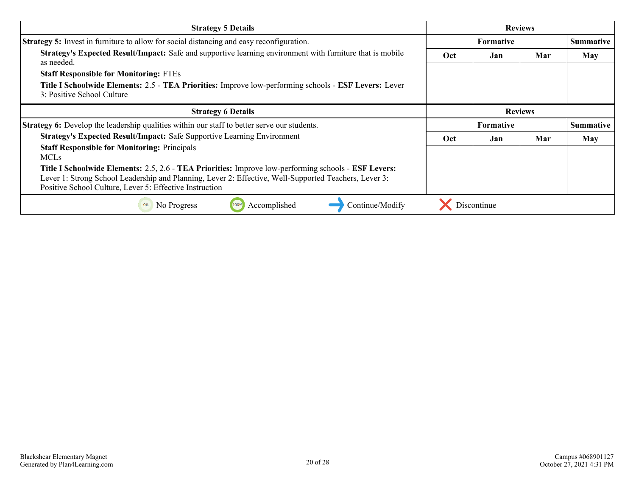| <b>Strategy 5 Details</b>                                                                                                           | <b>Reviews</b> |                  |     |                  |
|-------------------------------------------------------------------------------------------------------------------------------------|----------------|------------------|-----|------------------|
| <b>Strategy 5:</b> Invest in furniture to allow for social distancing and easy reconfiguration.                                     |                | <b>Formative</b> |     | <b>Summative</b> |
| Strategy's Expected Result/Impact: Safe and supportive learning environment with furniture that is mobile<br>as needed.             | <b>Oct</b>     | Jan              | Mar | May              |
| <b>Staff Responsible for Monitoring: FTEs</b>                                                                                       |                |                  |     |                  |
| Title I Schoolwide Elements: 2.5 - TEA Priorities: Improve low-performing schools - ESF Levers: Lever<br>3: Positive School Culture |                |                  |     |                  |
| <b>Strategy 6 Details</b>                                                                                                           | <b>Reviews</b> |                  |     |                  |
|                                                                                                                                     |                |                  |     |                  |
| <b>Strategy 6:</b> Develop the leadership qualities within our staff to better serve our students.                                  |                | <b>Formative</b> |     | <b>Summative</b> |
| <b>Strategy's Expected Result/Impact: Safe Supportive Learning Environment</b>                                                      | Oct            | Jan              | Mar | May              |
| <b>Staff Responsible for Monitoring: Principals</b>                                                                                 |                |                  |     |                  |
| <b>MCLs</b>                                                                                                                         |                |                  |     |                  |
| Title I Schoolwide Elements: 2.5, 2.6 - TEA Priorities: Improve low-performing schools - ESF Levers:                                |                |                  |     |                  |
| Lever 1: Strong School Leadership and Planning, Lever 2: Effective, Well-Supported Teachers, Lever 3:                               |                |                  |     |                  |
| Positive School Culture, Lever 5: Effective Instruction                                                                             |                |                  |     |                  |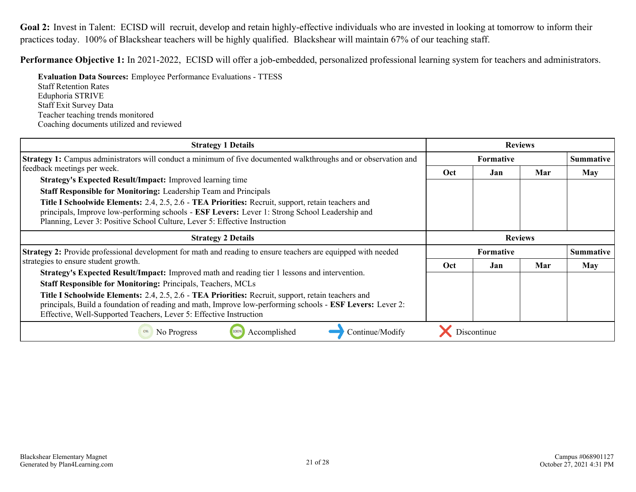<span id="page-20-0"></span>Goal 2: Invest in Talent: ECISD will recruit, develop and retain highly-effective individuals who are invested in looking at tomorrow to inform their practices today. 100% of Blackshear teachers will be highly qualified. Blackshear will maintain 67% of our teaching staff.

**Performance Objective 1:** In 2021-2022, ECISD will offer a job-embedded, personalized professional learning system for teachers and administrators.

**Evaluation Data Sources:** Employee Performance Evaluations - TTESS Staff Retention Rates

Eduphoria STRIVE Staff Exit Survey Data Teacher teaching trends monitored Coaching documents utilized and reviewed

| <b>Strategy 1 Details</b>                                                                                                                                                                                                                                                                                                                                                                                                                                            | <b>Reviews</b> |                    |                |                  |
|----------------------------------------------------------------------------------------------------------------------------------------------------------------------------------------------------------------------------------------------------------------------------------------------------------------------------------------------------------------------------------------------------------------------------------------------------------------------|----------------|--------------------|----------------|------------------|
| <b>Strategy 1:</b> Campus administrators will conduct a minimum of five documented walkthroughs and or observation and                                                                                                                                                                                                                                                                                                                                               | Formative      |                    |                | <b>Summative</b> |
| feedback meetings per week.<br><b>Strategy's Expected Result/Impact:</b> Improved learning time<br><b>Staff Responsible for Monitoring:</b> Leadership Team and Principals<br>Title I Schoolwide Elements: 2.4, 2.5, 2.6 - TEA Priorities: Recruit, support, retain teachers and<br>principals, Improve low-performing schools - ESF Levers: Lever 1: Strong School Leadership and<br>Planning, Lever 3: Positive School Culture, Lever 5: Effective Instruction     | Oct            | Jan                | Mar            | <b>May</b>       |
| <b>Strategy 2 Details</b>                                                                                                                                                                                                                                                                                                                                                                                                                                            |                |                    | <b>Reviews</b> |                  |
| <b>Strategy 2:</b> Provide professional development for math and reading to ensure teachers are equipped with needed                                                                                                                                                                                                                                                                                                                                                 |                | Formative          |                | <b>Summative</b> |
| strategies to ensure student growth.                                                                                                                                                                                                                                                                                                                                                                                                                                 | Oct            | Jan                | Mar            | May              |
| <b>Strategy's Expected Result/Impact:</b> Improved math and reading tier 1 lessons and intervention.<br><b>Staff Responsible for Monitoring: Principals, Teachers, MCLs</b><br>Title I Schoolwide Elements: 2.4, 2.5, 2.6 - TEA Priorities: Recruit, support, retain teachers and<br>principals, Build a foundation of reading and math, Improve low-performing schools - ESF Levers: Lever 2:<br>Effective, Well-Supported Teachers, Lever 5: Effective Instruction |                |                    |                |                  |
| Accomplished<br>No Progress<br>Continue/Modify                                                                                                                                                                                                                                                                                                                                                                                                                       |                | <b>Discontinue</b> |                |                  |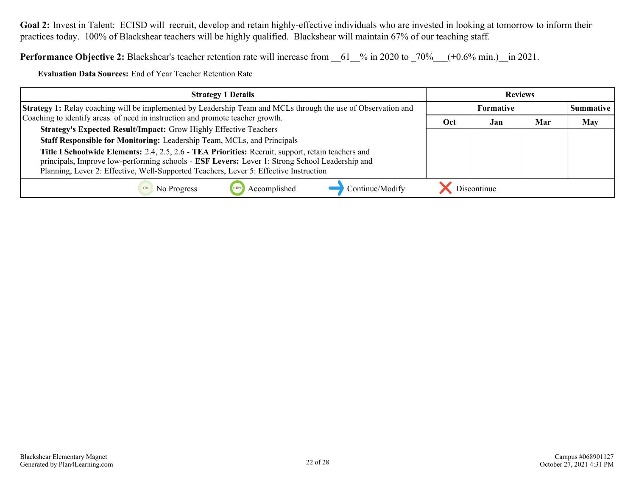Goal 2: Invest in Talent: ECISD will recruit, develop and retain highly-effective individuals who are invested in looking at tomorrow to inform their practices today. 100% of Blackshear teachers will be highly qualified. Blackshear will maintain 67% of our teaching staff.

**Performance Objective 2:** Blackshear's teacher retention rate will increase from  $\frac{61}{8}$  in 2020 to  $\frac{70\%}{100}$  (+0.6% min.) in 2021.

**Evaluation Data Sources:** End of Year Teacher Retention Rate

| <b>Strategy 1 Details</b>                                                                                                                                                                                                                                                                     | <b>Reviews</b> |             |     |                  |
|-----------------------------------------------------------------------------------------------------------------------------------------------------------------------------------------------------------------------------------------------------------------------------------------------|----------------|-------------|-----|------------------|
| <b>Strategy 1:</b> Relay coaching will be implemented by Leadership Team and MCLs through the use of Observation and                                                                                                                                                                          | Formative      |             |     | <b>Summative</b> |
| Coaching to identify areas of need in instruction and promote teacher growth.                                                                                                                                                                                                                 | Oct            | Jan         | Mar | May              |
| <b>Strategy's Expected Result/Impact:</b> Grow Highly Effective Teachers                                                                                                                                                                                                                      |                |             |     |                  |
| Staff Responsible for Monitoring: Leadership Team, MCLs, and Principals                                                                                                                                                                                                                       |                |             |     |                  |
| Title I Schoolwide Elements: 2.4, 2.5, 2.6 - TEA Priorities: Recruit, support, retain teachers and<br>principals, Improve low-performing schools - ESF Levers: Lever 1: Strong School Leadership and<br>Planning, Lever 2: Effective, Well-Supported Teachers, Lever 5: Effective Instruction |                |             |     |                  |
| Continue/Modify<br>Accomplished<br>No Progress                                                                                                                                                                                                                                                |                | Discontinue |     |                  |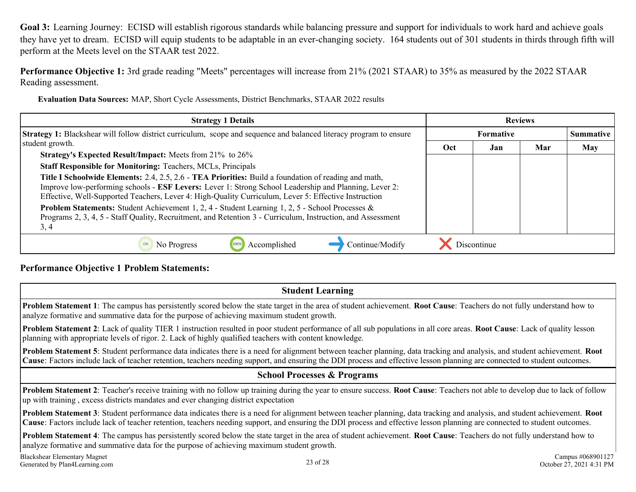<span id="page-22-0"></span>**Performance Objective 1:** 3rd grade reading "Meets" percentages will increase from 21% (2021 STAAR) to 35% as measured by the 2022 STAAR Reading assessment.

**Evaluation Data Sources:** MAP, Short Cycle Assessments, District Benchmarks, STAAR 2022 results

| <b>Strategy 1 Details</b>                                                                                                                                                                                                                                                                                                           | <b>Reviews</b>   |     |     |                  |  |
|-------------------------------------------------------------------------------------------------------------------------------------------------------------------------------------------------------------------------------------------------------------------------------------------------------------------------------------|------------------|-----|-----|------------------|--|
| <b>Strategy 1:</b> Blackshear will follow district curriculum, scope and sequence and balanced literacy program to ensure                                                                                                                                                                                                           | <b>Formative</b> |     |     | <b>Summative</b> |  |
| student growth.                                                                                                                                                                                                                                                                                                                     | Oct              | Jan | Mar | <b>May</b>       |  |
| <b>Strategy's Expected Result/Impact:</b> Meets from 21% to 26%                                                                                                                                                                                                                                                                     |                  |     |     |                  |  |
| <b>Staff Responsible for Monitoring: Teachers, MCLs, Principals</b>                                                                                                                                                                                                                                                                 |                  |     |     |                  |  |
| <b>Title I Schoolwide Elements:</b> 2.4, 2.5, 2.6 - <b>TEA Priorities:</b> Build a foundation of reading and math,<br>Improve low-performing schools - ESF Levers: Lever 1: Strong School Leadership and Planning, Lever 2:<br>Effective, Well-Supported Teachers, Lever 4: High-Quality Curriculum, Lever 5: Effective Instruction |                  |     |     |                  |  |
| Problem Statements: Student Achievement 1, 2, 4 - Student Learning 1, 2, 5 - School Processes &<br>Programs 2, 3, 4, 5 - Staff Quality, Recruitment, and Retention 3 - Curriculum, Instruction, and Assessment<br>3, 4                                                                                                              |                  |     |     |                  |  |
| Accomplished<br>Continue/Modify<br>No Progress<br>0%                                                                                                                                                                                                                                                                                |                  |     |     |                  |  |

#### **Performance Objective 1 Problem Statements:**

**Student Learning**

**Problem Statement 1**: The campus has persistently scored below the state target in the area of student achievement. **Root Cause**: Teachers do not fully understand how to analyze formative and summative data for the purpose of achieving maximum student growth.

**Problem Statement 2**: Lack of quality TIER 1 instruction resulted in poor student performance of all sub populations in all core areas. **Root Cause**: Lack of quality lesson planning with appropriate levels of rigor. 2. Lack of highly qualified teachers with content knowledge.

**Problem Statement 5**: Student performance data indicates there is a need for alignment between teacher planning, data tracking and analysis, and student achievement. **Root Cause**: Factors include lack of teacher retention, teachers needing support, and ensuring the DDI process and effective lesson planning are connected to student outcomes.

#### **School Processes & Programs**

**Problem Statement 2**: Teacher's receive training with no follow up training during the year to ensure success. **Root Cause**: Teachers not able to develop due to lack of follow up with training , excess districts mandates and ever changing district expectation

**Problem Statement 3**: Student performance data indicates there is a need for alignment between teacher planning, data tracking and analysis, and student achievement. **Root Cause**: Factors include lack of teacher retention, teachers needing support, and ensuring the DDI process and effective lesson planning are connected to student outcomes.

**Problem Statement 4**: The campus has persistently scored below the state target in the area of student achievement. **Root Cause**: Teachers do not fully understand how to analyze formative and summative data for the purpose of achieving maximum student growth.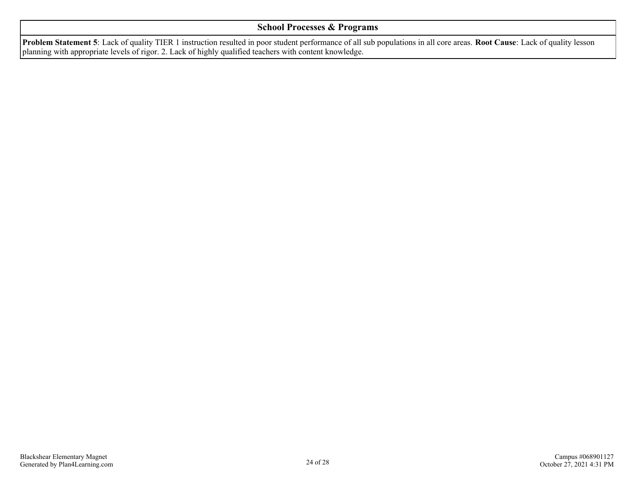#### **School Processes & Programs**

**Problem Statement 5**: Lack of quality TIER 1 instruction resulted in poor student performance of all sub populations in all core areas. **Root Cause**: Lack of quality lesson planning with appropriate levels of rigor. 2. Lack of highly qualified teachers with content knowledge.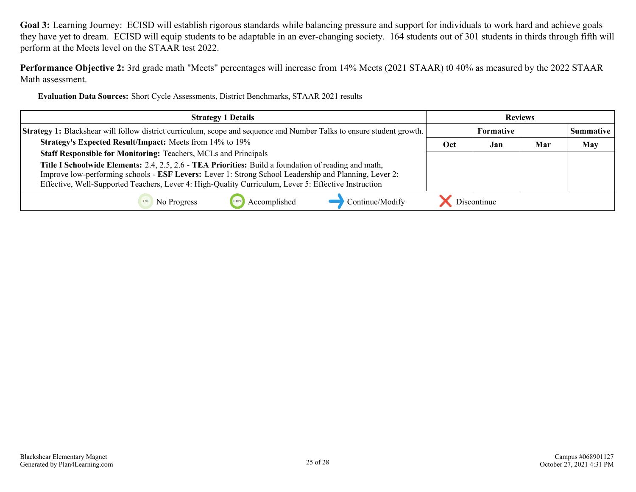**Performance Objective 2:** 3rd grade math "Meets" percentages will increase from 14% Meets (2021 STAAR) t0 40% as measured by the 2022 STAAR Math assessment.

**Evaluation Data Sources:** Short Cycle Assessments, District Benchmarks, STAAR 2021 results

| <b>Strategy 1 Details</b>                                                                                                                                                                                                                                                                                             | <b>Reviews</b>   |             |     |                  |
|-----------------------------------------------------------------------------------------------------------------------------------------------------------------------------------------------------------------------------------------------------------------------------------------------------------------------|------------------|-------------|-----|------------------|
| Strategy 1: Blackshear will follow district curriculum, scope and sequence and Number Talks to ensure student growth.                                                                                                                                                                                                 | <b>Formative</b> |             |     | <b>Summative</b> |
| Strategy's Expected Result/Impact: Meets from 14% to 19%                                                                                                                                                                                                                                                              | Oct              | Jan         | Mar | May              |
| Staff Responsible for Monitoring: Teachers, MCLs and Principals                                                                                                                                                                                                                                                       |                  |             |     |                  |
| Title I Schoolwide Elements: 2.4, 2.5, 2.6 - TEA Priorities: Build a foundation of reading and math,<br>Improve low-performing schools - ESF Levers: Lever 1: Strong School Leadership and Planning, Lever 2:<br>Effective, Well-Supported Teachers, Lever 4: High-Quality Curriculum, Lever 5: Effective Instruction |                  |             |     |                  |
| Continue/Modify<br>Accomplished<br>No Progress                                                                                                                                                                                                                                                                        |                  | Discontinue |     |                  |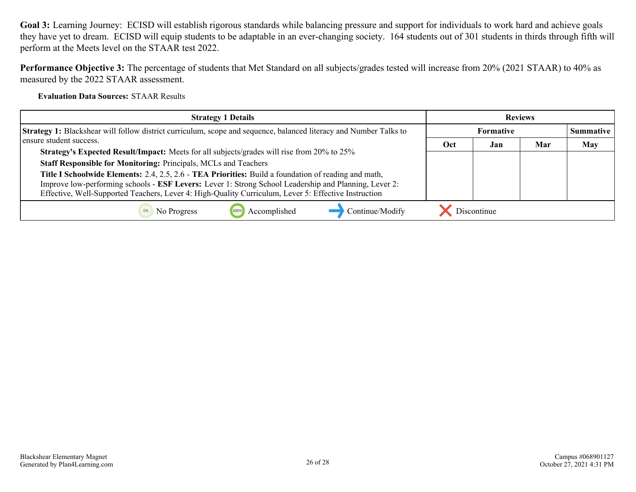**Performance Objective 3:** The percentage of students that Met Standard on all subjects/grades tested will increase from 20% (2021 STAAR) to 40% as measured by the 2022 STAAR assessment.

**Evaluation Data Sources:** STAAR Results

| <b>Strategy 1 Details</b>                                                                                                | <b>Reviews</b>   |             |     |                  |
|--------------------------------------------------------------------------------------------------------------------------|------------------|-------------|-----|------------------|
| <b>Strategy 1:</b> Blackshear will follow district curriculum, scope and sequence, balanced literacy and Number Talks to | <b>Formative</b> |             |     | <b>Summative</b> |
| ensure student success.                                                                                                  | Oct              | Jan         | Mar | <b>May</b>       |
| Strategy's Expected Result/Impact: Meets for all subjects/grades will rise from 20% to 25%                               |                  |             |     |                  |
| Staff Responsible for Monitoring: Principals, MCLs and Teachers                                                          |                  |             |     |                  |
| Title I Schoolwide Elements: 2.4, 2.5, 2.6 - TEA Priorities: Build a foundation of reading and math,                     |                  |             |     |                  |
| Improve low-performing schools - ESF Levers: Lever 1: Strong School Leadership and Planning, Lever 2:                    |                  |             |     |                  |
| Effective, Well-Supported Teachers, Lever 4: High-Quality Curriculum, Lever 5: Effective Instruction                     |                  |             |     |                  |
| Continue/Modify<br>Accomplished<br>No Progress<br>0%                                                                     |                  | Discontinue |     |                  |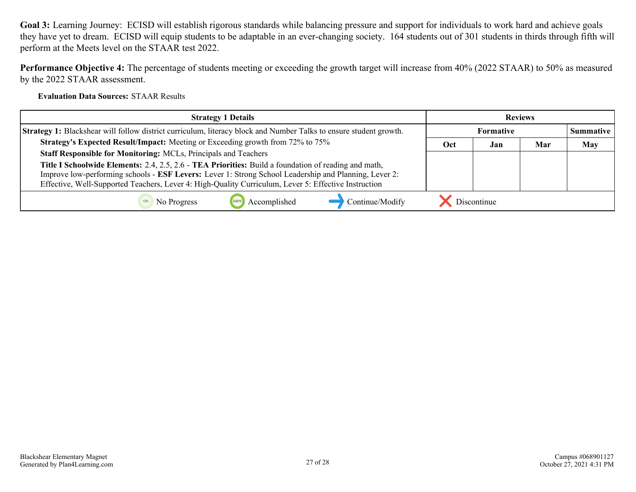**Performance Objective 4:** The percentage of students meeting or exceeding the growth target will increase from 40% (2022 STAAR) to 50% as measured by the 2022 STAAR assessment.

**Evaluation Data Sources:** STAAR Results

| <b>Strategy 1 Details</b>                                                                                                                                                                                                                                                                                             | <b>Reviews</b>   |             |     |                  |
|-----------------------------------------------------------------------------------------------------------------------------------------------------------------------------------------------------------------------------------------------------------------------------------------------------------------------|------------------|-------------|-----|------------------|
| Strategy 1: Blackshear will follow district curriculum, literacy block and Number Talks to ensure student growth.                                                                                                                                                                                                     | <b>Formative</b> |             |     | <b>Summative</b> |
| Strategy's Expected Result/Impact: Meeting or Exceeding growth from 72% to 75%                                                                                                                                                                                                                                        | Oct              | Jan         | Mar | <b>May</b>       |
| <b>Staff Responsible for Monitoring: MCLs, Principals and Teachers</b>                                                                                                                                                                                                                                                |                  |             |     |                  |
| Title I Schoolwide Elements: 2.4, 2.5, 2.6 - TEA Priorities: Build a foundation of reading and math,<br>Improve low-performing schools - ESF Levers: Lever 1: Strong School Leadership and Planning, Lever 2:<br>Effective, Well-Supported Teachers, Lever 4: High-Quality Curriculum, Lever 5: Effective Instruction |                  |             |     |                  |
| Continue/Modify<br>Accomplished<br>No Progress                                                                                                                                                                                                                                                                        |                  | Discontinue |     |                  |